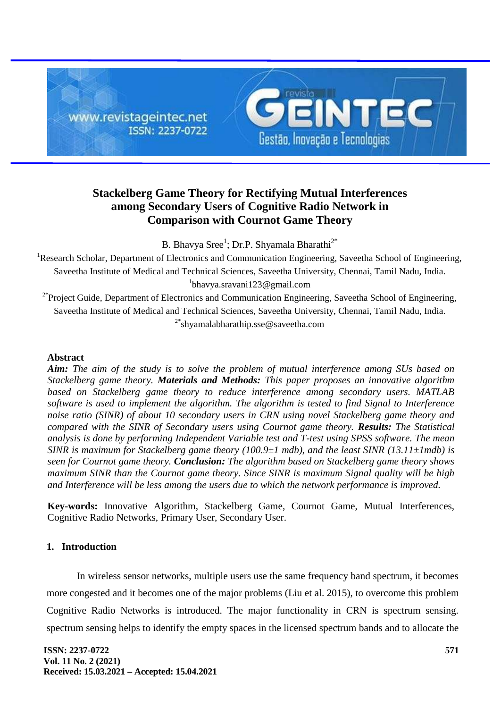

# **Stackelberg Game Theory for Rectifying Mutual Interferences among Secondary Users of Cognitive Radio Network in Comparison with Cournot Game Theory**

B. Bhavya Sree<sup>1</sup>; Dr.P. Shyamala Bharathi<sup>2\*</sup>

<sup>1</sup>Research Scholar, Department of Electronics and Communication Engineering, Saveetha School of Engineering, Saveetha Institute of Medical and Technical Sciences, Saveetha University, Chennai, Tamil Nadu, India. 1 [bhavya.sravani123@gmail.com](mailto:bhavya.sravani123@gmail.com)

<sup>2\*</sup>Project Guide, Department of Electronics and Communication Engineering, Saveetha School of Engineering, Saveetha Institute of Medical and Technical Sciences, Saveetha University, Chennai, Tamil Nadu, India. <sup>2\*</sup>shyamalabharathip.sse@sayeetha.com

# **Abstract**

*Aim: The aim of the study is to solve the problem of mutual interference among SUs based on Stackelberg game theory. Materials and Methods: This paper proposes an innovative algorithm based on Stackelberg game theory to reduce interference among secondary users. MATLAB software is used to implement the algorithm. The algorithm is tested to find Signal to Interference noise ratio (SINR) of about 10 secondary users in CRN using novel Stackelberg game theory and compared with the SINR of Secondary users using Cournot game theory. Results: The Statistical analysis is done by performing Independent Variable test and T-test using SPSS software. The mean SINR is maximum for Stackelberg game theory (100.9±1 mdb), and the least SINR (13.11±1mdb) is seen for Cournot game theory. Conclusion: The algorithm based on Stackelberg game theory shows maximum SINR than the Cournot game theory. Since SINR is maximum Signal quality will be high and Interference will be less among the users due to which the network performance is improved.*

**Key-words:** Innovative Algorithm, Stackelberg Game, Cournot Game, Mutual Interferences, Cognitive Radio Networks, Primary User, Secondary User.

# **1. Introduction**

In wireless sensor networks, multiple users use the same frequency band spectrum, it becomes more congested and it becomes one of the major problems [\(Liu et al. 2015\),](https://paperpile.com/c/lXSrvj/coRE) to overcome this problem Cognitive Radio Networks is introduced. The major functionality in CRN is spectrum sensing. spectrum sensing helps to identify the empty spaces in the licensed spectrum bands and to allocate the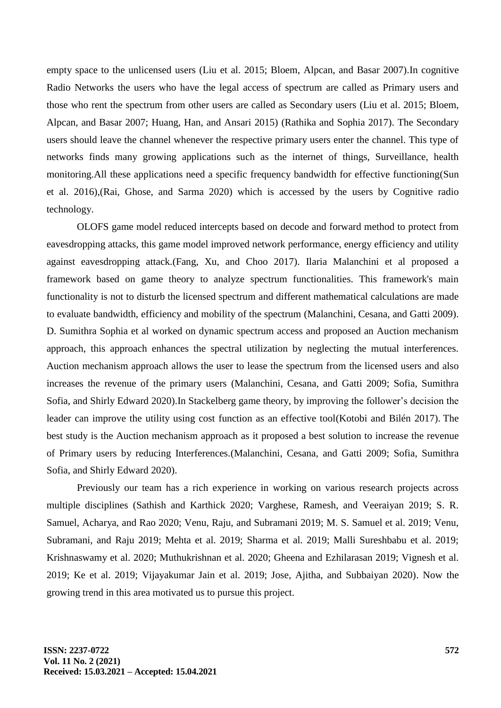empty space to the unlicensed users [\(Liu et al. 2015; Bloem, Alpcan, and Basar 2007\).](https://paperpile.com/c/lXSrvj/coRE+wnhR)In cognitive Radio Networks the users who have the legal access of spectrum are called as Primary users and those who rent the spectrum from other users are called as Secondary users [\(Liu et al. 2015; Bloem,](https://paperpile.com/c/lXSrvj/coRE+wnhR+KkmH)  [Alpcan, and Basar 2007; Huang, Han, and Ansari 2015\)](https://paperpile.com/c/lXSrvj/coRE+wnhR+KkmH) [\(Rathika and Sophia 2017\).](https://paperpile.com/c/lXSrvj/mjqM) The Secondary users should leave the channel whenever the respective primary users enter the channel. This type of networks finds many growing applications such as the internet of things, Surveillance, health monitoring.All these applications need a specific frequency bandwidth for effective functionin[g\(Sun](https://paperpile.com/c/lXSrvj/VTI0)  [et al. 2016\),](https://paperpile.com/c/lXSrvj/VTI0)[\(Rai, Ghose, and Sarma 2020\)](https://paperpile.com/c/lXSrvj/jmlV) which is accessed by the users by Cognitive radio technology.

OLOFS game model reduced intercepts based on decode and forward method to protect from eavesdropping attacks, this game model improved network performance, energy efficiency and utility against eavesdropping attack[.\(Fang, Xu, and Choo 2017\).](https://paperpile.com/c/lXSrvj/SOQn) Ilaria Malanchini et al proposed a framework based on game theory to analyze spectrum functionalities. This framework's main functionality is not to disturb the licensed spectrum and different mathematical calculations are made to evaluate bandwidth, efficiency and mobility of the spectrum [\(Malanchini, Cesana, and Gatti 2009\).](https://paperpile.com/c/lXSrvj/zfd7) D. Sumithra Sophia et al worked on dynamic spectrum access and proposed an Auction mechanism approach, this approach enhances the spectral utilization by neglecting the mutual interferences. Auction mechanism approach allows the user to lease the spectrum from the licensed users and also increases the revenue of the primary users [\(Malanchini, Cesana, and Gatti 2009; Sofia, Sumithra](https://paperpile.com/c/lXSrvj/zfd7+ZnF5)  [Sofia, and Shirly Edward 2020\).](https://paperpile.com/c/lXSrvj/zfd7+ZnF5)In Stackelberg game theory, by improving the follower's decision the leader can improve the utility using cost function as an effective too[l\(Kotobi and Bilén 2017\).](https://paperpile.com/c/lXSrvj/f0fo) The best study is the Auction mechanism approach as it proposed a best solution to increase the revenue of Primary users by reducing Interferences[.\(Malanchini, Cesana, and Gatti 2009; Sofia, Sumithra](https://paperpile.com/c/lXSrvj/zfd7+ZnF5)  [Sofia, and Shirly Edward 2020\).](https://paperpile.com/c/lXSrvj/zfd7+ZnF5)

Previously our team has a rich experience in working on various research projects across multiple disciplines [\(Sathish and Karthick 2020; Varghese, Ramesh, and Veeraiyan 2019; S. R.](https://paperpile.com/c/lXSrvj/2QdCC+wTioK+XB7sR+Dp0Nl+rzg6J+mn6Yh+O6ZIK+Nx50V+o4lrA+ZWJ0I+co4BQ+UuJzt+zrGHX+Feyer+r8Ble+WQHzB)  [Samuel, Acharya, and Rao 2020; Venu, Raju, and Subramani 2019; M. S. Samuel et al. 2019; Venu,](https://paperpile.com/c/lXSrvj/2QdCC+wTioK+XB7sR+Dp0Nl+rzg6J+mn6Yh+O6ZIK+Nx50V+o4lrA+ZWJ0I+co4BQ+UuJzt+zrGHX+Feyer+r8Ble+WQHzB)  [Subramani, and Raju 2019; Mehta et al. 2019; Sharma et al. 2019; Malli Sureshbabu et al. 2019;](https://paperpile.com/c/lXSrvj/2QdCC+wTioK+XB7sR+Dp0Nl+rzg6J+mn6Yh+O6ZIK+Nx50V+o4lrA+ZWJ0I+co4BQ+UuJzt+zrGHX+Feyer+r8Ble+WQHzB)  [Krishnaswamy et al. 2020; Muthukrishnan et al. 2020; Gheena and Ezhilarasan 2019; Vignesh et al.](https://paperpile.com/c/lXSrvj/2QdCC+wTioK+XB7sR+Dp0Nl+rzg6J+mn6Yh+O6ZIK+Nx50V+o4lrA+ZWJ0I+co4BQ+UuJzt+zrGHX+Feyer+r8Ble+WQHzB)  [2019; Ke et al. 2019; Vijayakumar Jain et al. 2019; Jose, Ajitha, and Subbaiyan 2020\).](https://paperpile.com/c/lXSrvj/2QdCC+wTioK+XB7sR+Dp0Nl+rzg6J+mn6Yh+O6ZIK+Nx50V+o4lrA+ZWJ0I+co4BQ+UuJzt+zrGHX+Feyer+r8Ble+WQHzB) Now the growing trend in this area motivated us to pursue this project.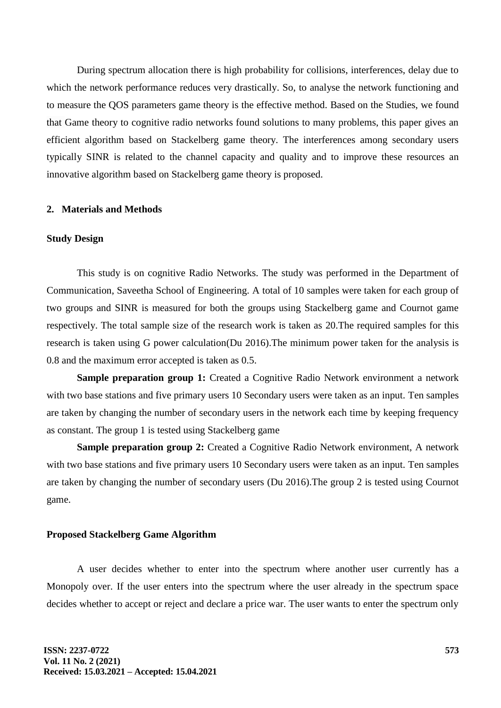During spectrum allocation there is high probability for collisions, interferences, delay due to which the network performance reduces very drastically. So, to analyse the network functioning and to measure the QOS parameters game theory is the effective method. Based on the Studies, we found that Game theory to cognitive radio networks found solutions to many problems, this paper gives an efficient algorithm based on Stackelberg game theory. The interferences among secondary users typically SINR is related to the channel capacity and quality and to improve these resources an innovative algorithm based on Stackelberg game theory is proposed.

#### **2. Materials and Methods**

#### **Study Design**

This study is on cognitive Radio Networks. The study was performed in the Department of Communication, Saveetha School of Engineering. A total of 10 samples were taken for each group of two groups and SINR is measured for both the groups using Stackelberg game and Cournot game respectively. The total sample size of the research work is taken as 20.The required samples for this research is taken using G power calculatio[n\(Du 2016\).](https://paperpile.com/c/lXSrvj/J77C)The minimum power taken for the analysis is 0.8 and the maximum error accepted is taken as 0.5.

**Sample preparation group 1:** Created a Cognitive Radio Network environment a network with two base stations and five primary users 10 Secondary users were taken as an input. Ten samples are taken by changing the number of secondary users in the network each time by keeping frequency as constant. The group 1 is tested using Stackelberg game

**Sample preparation group 2:** Created a Cognitive Radio Network environment, A network with two base stations and five primary users 10 Secondary users were taken as an input. Ten samples are taken by changing the number of secondary users [\(Du 2016\).](https://paperpile.com/c/lXSrvj/J77C)The group 2 is tested using Cournot game.

#### **Proposed Stackelberg Game Algorithm**

A user decides whether to enter into the spectrum where another user currently has a Monopoly over. If the user enters into the spectrum where the user already in the spectrum space decides whether to accept or reject and declare a price war. The user wants to enter the spectrum only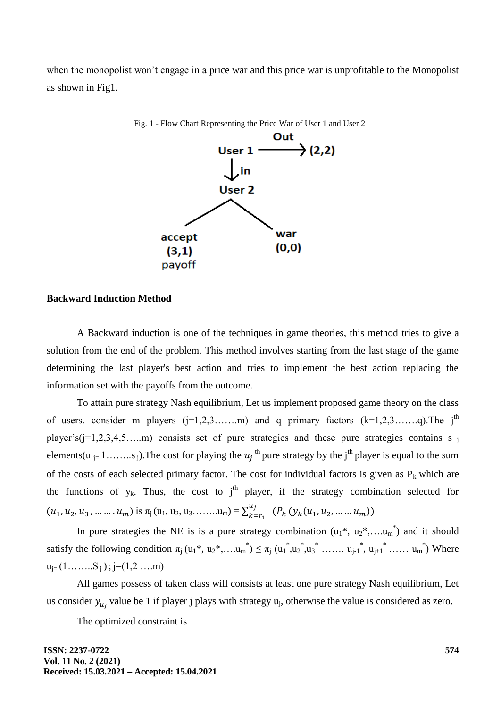when the monopolist won't engage in a price war and this price war is unprofitable to the Monopolist as shown in Fig1.



**Backward Induction Method**

A Backward induction is one of the techniques in game theories, this method tries to give a solution from the end of the problem. This method involves starting from the last stage of the game determining the last player's best action and tries to implement the best action replacing the information set with the payoffs from the outcome.

To attain pure strategy Nash equilibrium, Let us implement proposed game theory on the class of users. consider m players  $(j=1,2,3,\ldots,m)$  and q primary factors  $(k=1,2,3,\ldots,q)$ . The j<sup>th</sup> player's(j=1,2,3,4,5….m) consists set of pure strategies and these pure strategies contains s j elements(u <sub>j=</sub> 1……..s<sub>j</sub>). The cost for playing the  $u_j$ <sup>th</sup> pure strategy by the j<sup>th</sup> player is equal to the sum of the costs of each selected primary factor. The cost for individual factors is given as  $P_k$  which are the functions of  $y_k$ . Thus, the cost to j<sup>th</sup> player, if the strategy combination selected for  $(u_1, u_2, u_3, \dots \dots u_m)$  is  $\pi_1(u_1, u_2, u_3, \dots \dots u_m) = \sum_{k=1}^{m}$  $_{k=r_1}^{u_j}$   $(P_k(y_k(u_1, u_2, ..., u_m))$ 

In pure strategies the NE is is a pure strategy combination  $(u_1^*, u_2^*, \dots, u_m^*)$  and it should satisfy the following condition  $\pi_j(u_1^*, u_2^*, \dots u_m^*) \leq \pi_j(u_1^*, u_2^*, u_3^*, \dots, u_{j-1}^*, u_{j+1}^*, \dots, u_m^*)$  Where  $u_{i} = (1, \ldots, S_i); j=(1,2, \ldots, m)$ 

All games possess of taken class will consists at least one pure strategy Nash equilibrium, Let us consider  $y_{u_i}$  value be 1 if player j plays with strategy  $u_j$ , otherwise the value is considered as zero.

The optimized constraint is

**ISSN: 2237-0722 Vol. 11 No. 2 (2021) Received: 15.03.2021 – Accepted: 15.04.2021**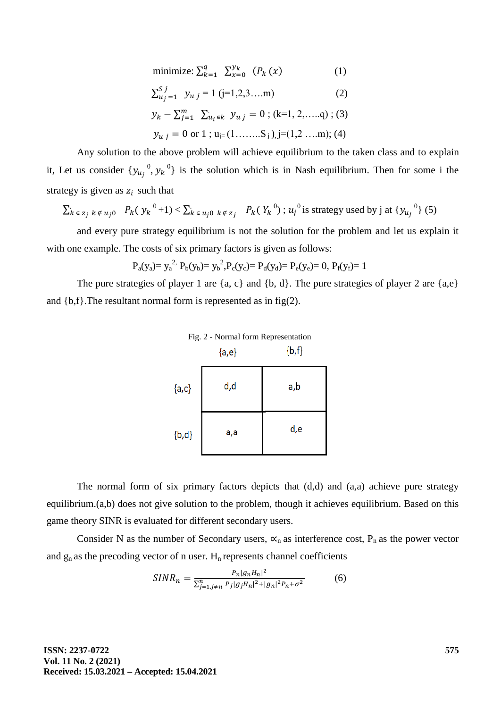$$
\text{minimize: } \sum_{k=1}^{q} \sum_{x=0}^{\mathcal{Y}_k} (P_k(x) \tag{1}
$$

$$
\sum_{u_j=1}^{S} y_{u_j} = 1 (j=1,2,3,...m)
$$
 (2)

$$
y_k - \sum_{j=1}^m \sum_{u_i \in k} y_{u j} = 0
$$
; (k=1, 2, ....q); (3)  
 $y_{u j} = 0$  or 1;  $u_{j=}(1, \ldots, S_j)$ , j=(1,2 ...m); (4)

Any solution to the above problem will achieve equilibrium to the taken class and to explain it, Let us consider  ${y_{u_i}^0, y_k}^0$  is the solution which is in Nash equilibrium. Then for some i the strategy is given as  $z_i$  such that

$$
\sum_{k \in z_j} k \notin u_j \text{ or } P_k(y_k^{0} + 1) < \sum_{k \in u_j \text{ or } k \notin z_j} P_k(Y_k^{0}) \text{ ; } u_j^{0} \text{ is strategy used by } j \text{ at } \{y_{u_j}^{0}\} \text{ (5)}
$$

and every pure strategy equilibrium is not the solution for the problem and let us explain it with one example. The costs of six primary factors is given as follows:

$$
P_a(y_a) = y_a^2
$$
,  $P_b(y_b) = y_b^2$ ,  $P_c(y_c) = P_d(y_d) = P_e(y_e) = 0$ ,  $P_f(y_f) = 1$ 

The pure strategies of player 1 are  $\{a, c\}$  and  $\{b, d\}$ . The pure strategies of player 2 are  $\{a,e\}$ and  ${b,f}$ . The resultant normal form is represented as in fig(2).

|            | Fig. 2 - Normal form Representation<br>${a,e}$ | $\{b,f\}$ |  |  |
|------------|------------------------------------------------|-----------|--|--|
| ${a,c}$    | d,d                                            | a,b       |  |  |
| $\{b, d\}$ | a,a                                            | d,e       |  |  |

The normal form of six primary factors depicts that (d,d) and (a,a) achieve pure strategy equilibrium.(a,b) does not give solution to the problem, though it achieves equilibrium. Based on this game theory SINR is evaluated for different secondary users.

Consider N as the number of Secondary users,  $\alpha_n$  as interference cost, P<sub>n</sub> as the power vector and  $g_n$  as the precoding vector of n user.  $H_n$  represents channel coefficients

$$
SINR_n = \frac{P_n|g_n H_n|^2}{\sum_{j=1, j \neq n}^n P_j|g_j H_n|^2 + |g_n|^2 P_n + \sigma^2}
$$
(6)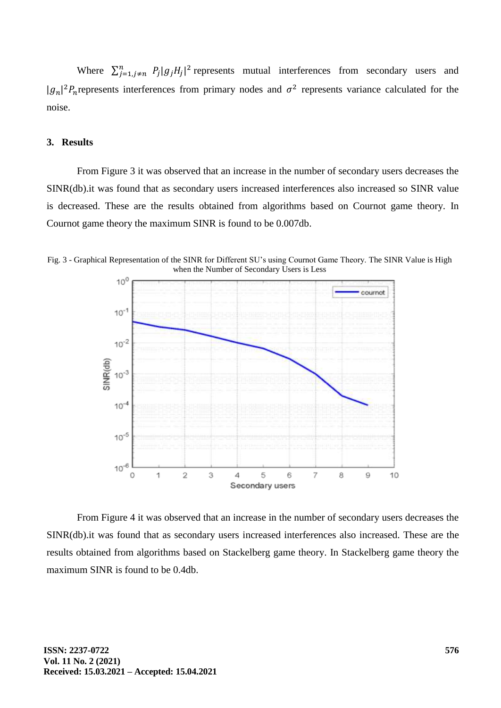Where  $\sum_{j=1,j\neq n}^{n} P_j |g_j H_j|^2$  represents mutual interferences from secondary users and  $|g_n|^2 P_n$  represents interferences from primary nodes and  $\sigma^2$  represents variance calculated for the noise.

# **3. Results**

From Figure 3 it was observed that an increase in the number of secondary users decreases the SINR(db).it was found that as secondary users increased interferences also increased so SINR value is decreased. These are the results obtained from algorithms based on Cournot game theory. In Cournot game theory the maximum SINR is found to be 0.007db.



Fig. 3 - Graphical Representation of the SINR for Different SU's using Cournot Game Theory. The SINR Value is High when the Number of Secondary Users is Less

From Figure 4 it was observed that an increase in the number of secondary users decreases the SINR(db).it was found that as secondary users increased interferences also increased. These are the results obtained from algorithms based on Stackelberg game theory. In Stackelberg game theory the maximum SINR is found to be 0.4db.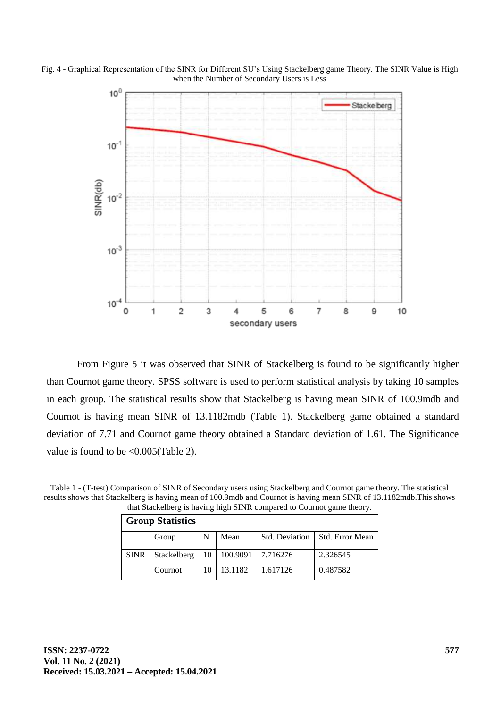



From Figure 5 it was observed that SINR of Stackelberg is found to be significantly higher than Cournot game theory. SPSS software is used to perform statistical analysis by taking 10 samples in each group. The statistical results show that Stackelberg is having mean SINR of 100.9mdb and Cournot is having mean SINR of 13.1182mdb (Table 1). Stackelberg game obtained a standard deviation of 7.71 and Cournot game theory obtained a Standard deviation of 1.61. The Significance value is found to be <0.005(Table 2).

Table 1 - (T-test) Comparison of SINR of Secondary users using Stackelberg and Cournot game theory. The statistical results shows that Stackelberg is having mean of 100.9mdb and Cournot is having mean SINR of 13.1182mdb.This shows that Stackelberg is having high SINR compared to Cournot game theory.

| <b>Group Statistics</b> |             |      |          |                |                 |  |  |
|-------------------------|-------------|------|----------|----------------|-----------------|--|--|
|                         | Group       | N    | Mean     | Std. Deviation | Std. Error Mean |  |  |
| <b>SINR</b>             | Stackelberg | 10 l | 100.9091 | 17.716276      | 2.326545        |  |  |
|                         | Cournot     | 10   | 13.1182  | 1.617126       | 0.487582        |  |  |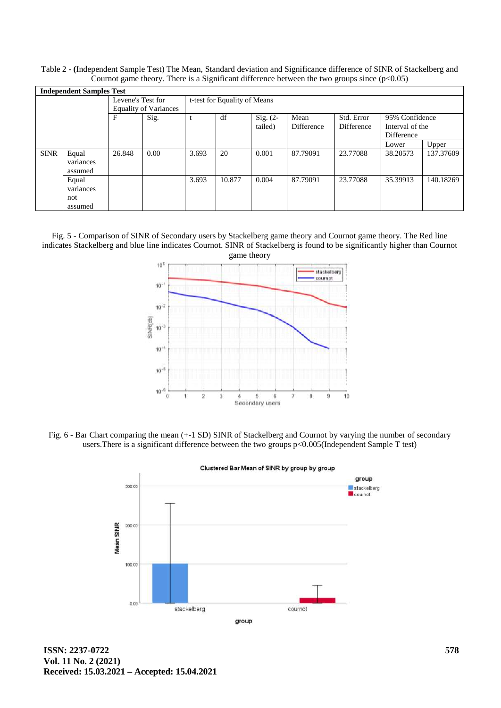Table 2 - **(**Independent Sample Test) The Mean, Standard deviation and Significance difference of SINR of Stackelberg and Cournot game theory. There is a Significant difference between the two groups since  $(p<0.05)$ 

| <b>Independent Samples Test</b> |                                      |                                                   |      |                              |        |                       |                    |                          |                                                 |           |
|---------------------------------|--------------------------------------|---------------------------------------------------|------|------------------------------|--------|-----------------------|--------------------|--------------------------|-------------------------------------------------|-----------|
|                                 |                                      | Levene's Test for<br><b>Equality of Variances</b> |      | t-test for Equality of Means |        |                       |                    |                          |                                                 |           |
|                                 |                                      | F                                                 | Sig. |                              | df     | Sig. $(2-$<br>tailed) | Mean<br>Difference | Std. Error<br>Difference | 95% Confidence<br>Interval of the<br>Difference |           |
|                                 |                                      |                                                   |      |                              |        |                       |                    |                          | Lower                                           | Upper     |
| <b>SINR</b>                     | Equal<br>variances<br>assumed        | 26.848                                            | 0.00 | 3.693                        | 20     | 0.001                 | 87.79091           | 23.77088                 | 38.20573                                        | 137.37609 |
|                                 | Equal<br>variances<br>not<br>assumed |                                                   |      | 3.693                        | 10.877 | 0.004                 | 87.79091           | 23.77088                 | 35.39913                                        | 140.18269 |

Fig. 5 - Comparison of SINR of Secondary users by Stackelberg game theory and Cournot game theory. The Red line indicates Stackelberg and blue line indicates Cournot. SINR of Stackelberg is found to be significantly higher than Cournot



Fig. 6 - Bar Chart comparing the mean (+-1 SD) SINR of Stackelberg and Cournot by varying the number of secondary users.There is a significant difference between the two groups p<0.005(Independent Sample T test)



**ISSN: 2237-0722 Vol. 11 No. 2 (2021) Received: 15.03.2021 – Accepted: 15.04.2021**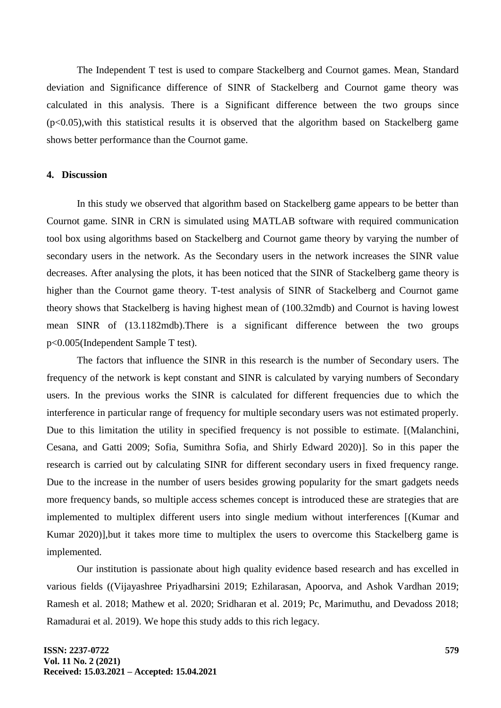The Independent T test is used to compare Stackelberg and Cournot games. Mean, Standard deviation and Significance difference of SINR of Stackelberg and Cournot game theory was calculated in this analysis. There is a Significant difference between the two groups since  $(p<0.05)$ , with this statistical results it is observed that the algorithm based on Stackelberg game shows better performance than the Cournot game.

#### **4. Discussion**

In this study we observed that algorithm based on Stackelberg game appears to be better than Cournot game. SINR in CRN is simulated using MATLAB software with required communication tool box using algorithms based on Stackelberg and Cournot game theory by varying the number of secondary users in the network. As the Secondary users in the network increases the SINR value decreases. After analysing the plots, it has been noticed that the SINR of Stackelberg game theory is higher than the Cournot game theory. T-test analysis of SINR of Stackelberg and Cournot game theory shows that Stackelberg is having highest mean of (100.32mdb) and Cournot is having lowest mean SINR of (13.1182mdb).There is a significant difference between the two groups p<0.005(Independent Sample T test).

The factors that influence the SINR in this research is the number of Secondary users. The frequency of the network is kept constant and SINR is calculated by varying numbers of Secondary users. In the previous works the SINR is calculated for different frequencies due to which the interference in particular range of frequency for multiple secondary users was not estimated properly. Due to this limitation the utility in specified frequency is not possible to estimate. [(Malanchini, [Cesana, and Gatti 2009; Sofia, Sumithra Sofia, and Shirly Edward 2020\)\]](https://paperpile.com/c/lXSrvj/zfd7+ZnF5). So in this paper the research is carried out by calculating SINR for different secondary users in fixed frequency range. Due to the increase in the number of users besides growing popularity for the smart gadgets needs more frequency bands, so multiple access schemes concept is introduced these are strategies that are implemented to multiplex different users into single medium without interferences [\[\(Kumar and](https://paperpile.com/c/lXSrvj/ELBN)  [Kumar 2020\)\]](https://paperpile.com/c/lXSrvj/ELBN),but it takes more time to multiplex the users to overcome this Stackelberg game is implemented.

Our institution is passionate about high quality evidence based research and has excelled in various fields [\(\(Vijayashree Priyadharsini 2019; Ezhilarasan, Apoorva, and](https://paperpile.com/c/lXSrvj/ZoxHb+TWJEE+dhvGF+pzx1h+IcnRT+h1vCS+6dbk9) Ashok Vardhan 2019; [Ramesh et al. 2018; Mathew et al. 2020; Sridharan et al. 2019; Pc, Marimuthu, and Devadoss 2018;](https://paperpile.com/c/lXSrvj/ZoxHb+TWJEE+dhvGF+pzx1h+IcnRT+h1vCS+6dbk9)  [Ramadurai et al. 2019\).](https://paperpile.com/c/lXSrvj/ZoxHb+TWJEE+dhvGF+pzx1h+IcnRT+h1vCS+6dbk9) We hope this study adds to this rich legacy.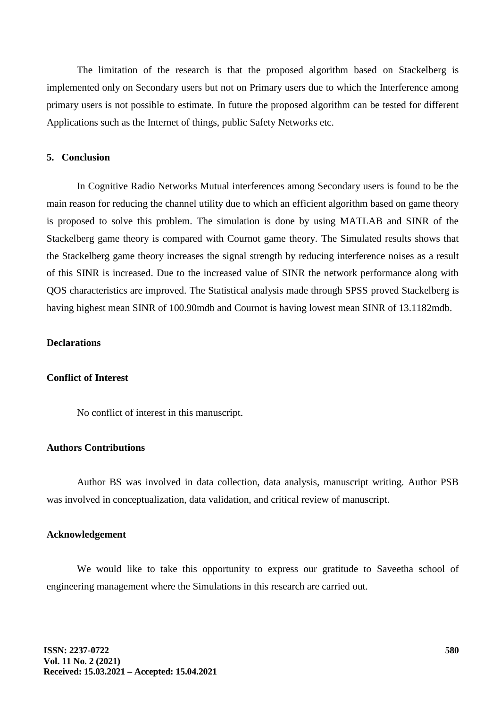The limitation of the research is that the proposed algorithm based on Stackelberg is implemented only on Secondary users but not on Primary users due to which the Interference among primary users is not possible to estimate. In future the proposed algorithm can be tested for different Applications such as the Internet of things, public Safety Networks etc.

#### **5. Conclusion**

In Cognitive Radio Networks Mutual interferences among Secondary users is found to be the main reason for reducing the channel utility due to which an efficient algorithm based on game theory is proposed to solve this problem. The simulation is done by using MATLAB and SINR of the Stackelberg game theory is compared with Cournot game theory. The Simulated results shows that the Stackelberg game theory increases the signal strength by reducing interference noises as a result of this SINR is increased. Due to the increased value of SINR the network performance along with QOS characteristics are improved. The Statistical analysis made through SPSS proved Stackelberg is having highest mean SINR of 100.90mdb and Cournot is having lowest mean SINR of 13.1182mdb.

#### **Declarations**

#### **Conflict of Interest**

No conflict of interest in this manuscript.

### **Authors Contributions**

Author BS was involved in data collection, data analysis, manuscript writing. Author PSB was involved in conceptualization, data validation, and critical review of manuscript.

#### **Acknowledgement**

We would like to take this opportunity to express our gratitude to Saveetha school of engineering management where the Simulations in this research are carried out.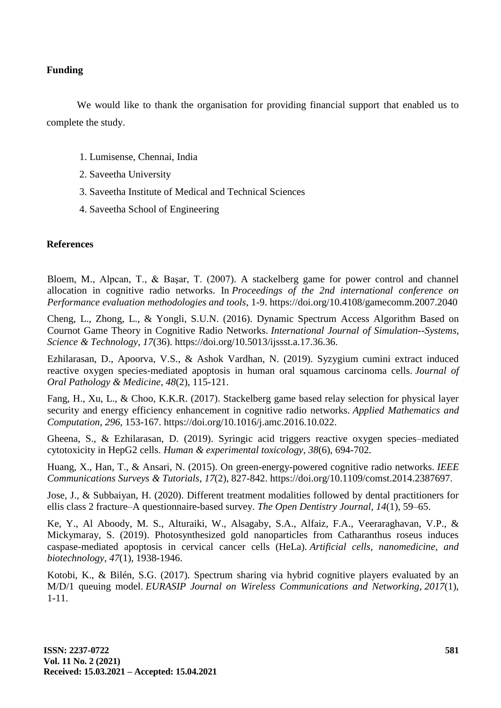# **Funding**

We would like to thank the organisation for providing financial support that enabled us to complete the study.

- 1. Lumisense, Chennai, India
- 2. Saveetha University
- 3. Saveetha Institute of Medical and Technical Sciences
- 4. Saveetha School of Engineering

# **References**

Bloem, M., Alpcan, T., & Başar, T. (2007). A stackelberg game for power control and channel allocation in cognitive radio networks. In *Proceedings of the 2nd international conference on Performance evaluation methodologies and tools*, 1-9. [https://doi.org/10.4108/gamecomm.2007.2040](http://paperpile.com/b/lXSrvj/wnhR)

Cheng, L., Zhong, L., & Yongli, S.U.N. (2016). Dynamic Spectrum Access Algorithm Based on Cournot Game Theory in Cognitive Radio Networks. *International Journal of Simulation--Systems, Science & Technology*, *17*(36). [https://doi.org/10.5013/ijssst.a.17.36.36](https://doi.org/)[.](http://paperpile.com/b/lXSrvj/J77C)

Ezhilarasan, D., Apoorva, V.S., & Ashok Vardhan, N. (2019). Syzygium cumini extract induced reactive oxygen species‐mediated apoptosis in human oral squamous carcinoma cells. *Journal of Oral Pathology & Medicine*, *48*(2), 115-121.

Fang, H., Xu, L., & Choo, K.K.R. (2017). Stackelberg game based relay selection for physical layer security and energy efficiency enhancement in cognitive radio networks. *Applied Mathematics and Computation*, *296*, 153-167. [https://doi.org/10.1016/j.amc.2016.10.022](https://doi.org/)[.](http://paperpile.com/b/lXSrvj/SOQn)

Gheena, S., & Ezhilarasan, D. (2019). Syringic acid triggers reactive oxygen species–mediated cytotoxicity in HepG2 cells. *Human & experimental toxicology*, *38*(6), 694-702.

Huang, X., Han, T., & Ansari, N. (2015). On green-energy-powered cognitive radio networks. *IEEE Communications Surveys & Tutorials*, *17*(2), 827-842. [https://doi.org/10.1109/comst.2014.2387697](https://doi.org/)[.](http://paperpile.com/b/lXSrvj/KkmH)

Jose, J., & Subbaiyan, H. (2020). Different treatment modalities followed by dental practitioners for ellis class 2 fracture–A questionnaire-based survey. *The Open Dentistry Journal*, *14*(1), [59–65.](http://paperpile.com/b/lXSrvj/WQHzB)

Ke, Y., Al Aboody, M. S., Alturaiki, W., Alsagaby, S.A., Alfaiz, F.A., Veeraraghavan, V.P., & Mickymaray, S. (2019). Photosynthesized gold nanoparticles from Catharanthus roseus induces caspase-mediated apoptosis in cervical cancer cells (HeLa). *Artificial cells, nanomedicine, and biotechnology*, *47*(1), 1938-1946.

Kotobi, K., & Bilén, S.G. (2017). Spectrum sharing via hybrid cognitive players evaluated by an M/D/1 queuing model. *EURASIP Journal on Wireless Communications and Networking*, *2017*(1), 1-1[1.](http://paperpile.com/b/lXSrvj/f0fo)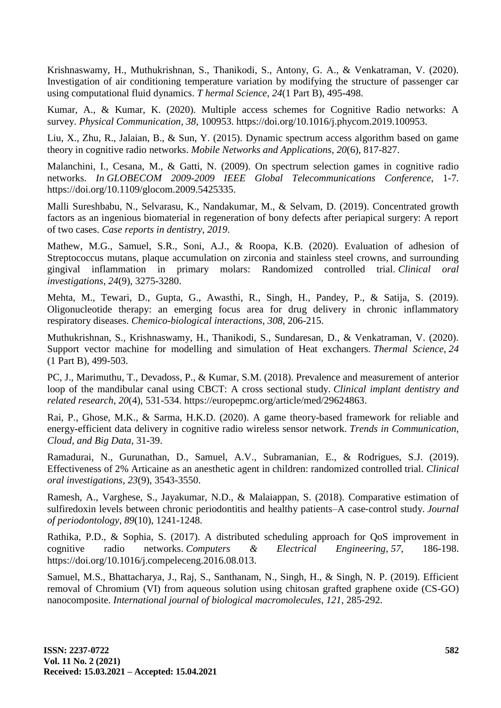Krishnaswamy, H., Muthukrishnan, S., Thanikodi, S., Antony, G. A., & Venkatraman, V. (2020). Investigation of air conditioning temperature variation by modifying the structure of passenger car using computational fluid dynamics. *T hermal Science*, *24*(1 Part B), 495-498.

Kumar, A., & Kumar, K. (2020). Multiple access schemes for Cognitive Radio networks: A survey. *Physical Communication*, *38*, 100953. [https://doi.org/10.1016/j.phycom.2019.100953](https://doi.org/)[.](http://paperpile.com/b/lXSrvj/ELBN)

Liu, X., Zhu, R., Jalaian, B., & Sun, Y. (2015). Dynamic spectrum access algorithm based on game theory in cognitive radio networks. *Mobile Networks and Applications*, *20*(6), 817-827.

Malanchini, I., Cesana, M., & Gatti, N. (2009). On spectrum selection games in cognitive radio networks. *In GLOBECOM 2009-2009 IEEE Global Telecommunications Conference*, 1-[7.](http://paperpile.com/b/lXSrvj/zfd7)  [https://doi.org/](http://paperpile.com/b/lXSrvj/zfd7)[10.1109/glocom.2009.5425335.](http://dx.doi.org/10.1109/glocom.2009.5425335)

Malli Sureshbabu, N., Selvarasu, K., Nandakumar, M., & Selvam, D. (2019). Concentrated growth factors as an ingenious biomaterial in regeneration of bony defects after periapical surgery: A report of two cases. *Case reports in dentistry*, *2019*.

Mathew, M.G., Samuel, S.R., Soni, A.J., & Roopa, K.B. (2020). Evaluation of adhesion of Streptococcus mutans, plaque accumulation on zirconia and stainless steel crowns, and surrounding gingival inflammation in primary molars: Randomized controlled trial. *Clinical oral investigations*, *24*(9), 3275-328[0.](http://paperpile.com/b/lXSrvj/pzx1h)

Mehta, M., Tewari, D., Gupta, G., Awasthi, R., Singh, H., Pandey, P., & Satija, S. (2019). Oligonucleotide therapy: an emerging focus area for drug delivery in chronic inflammatory respiratory diseases. *Chemico-biological interactions*, *308*, 206-215.

Muthukrishnan, S., Krishnaswamy, H., Thanikodi, S., Sundaresan, D., & Venkatraman, V. (2020). Support vector machine for modelling and simulation of Heat exchangers. *Thermal Science*, *24*  (1 Part B), 499-503.

PC, J., Marimuthu, T., Devadoss, P., & Kumar, S.M. (2018). Prevalence and measurement of anterior loop of the mandibular canal using CBCT: A cross sectional study. *Clinical implant dentistry and related research*, *20*(4), 531-534. [https://europepmc.org/article/med/29624863.](https://europepmc.org/article/med/29624863)

Rai, P., Ghose, M.K., & Sarma, H.K.D. (2020). A game theory-based framework for reliable and energy-efficient data delivery in cognitive radio wireless sensor network. *Trends in Communication, Cloud, and Big Data*, 31-3[9.](http://paperpile.com/b/lXSrvj/jmlV)

Ramadurai, N., Gurunathan, D., Samuel, A.V., Subramanian, E., & Rodrigues, S.J. (2019). Effectiveness of 2% Articaine as an anesthetic agent in children: randomized controlled trial. *Clinical oral investigations*, *23*(9), 3543-3550.

Ramesh, A., Varghese, S., Jayakumar, N.D., & Malaiappan, S. (2018). Comparative estimation of sulfiredoxin levels between chronic periodontitis and healthy patients–A case-control study. *Journal of periodontology*, *89*(10), 1241-1248.

Rathika, P.D., & Sophia, S. (2017). A distributed scheduling approach for QoS improvement in cognitive radio networks. *Computers & Electrical Engineering*, *57*, 186-19[8.](http://paperpile.com/b/lXSrvj/mjqM)  [https://doi.org/](http://paperpile.com/b/lXSrvj/mjqM)[10.1016/j.compeleceng.2016.08.013.](http://dx.doi.org/10.1016/j.compeleceng.2016.08.013)

Samuel, M.S., Bhattacharya, J., Raj, S., Santhanam, N., Singh, H., & Singh, N. P. (2019). Efficient removal of Chromium (VI) from aqueous solution using chitosan grafted graphene oxide (CS-GO) nanocomposite. *International journal of biological macromolecules*, *121*, 285-292.